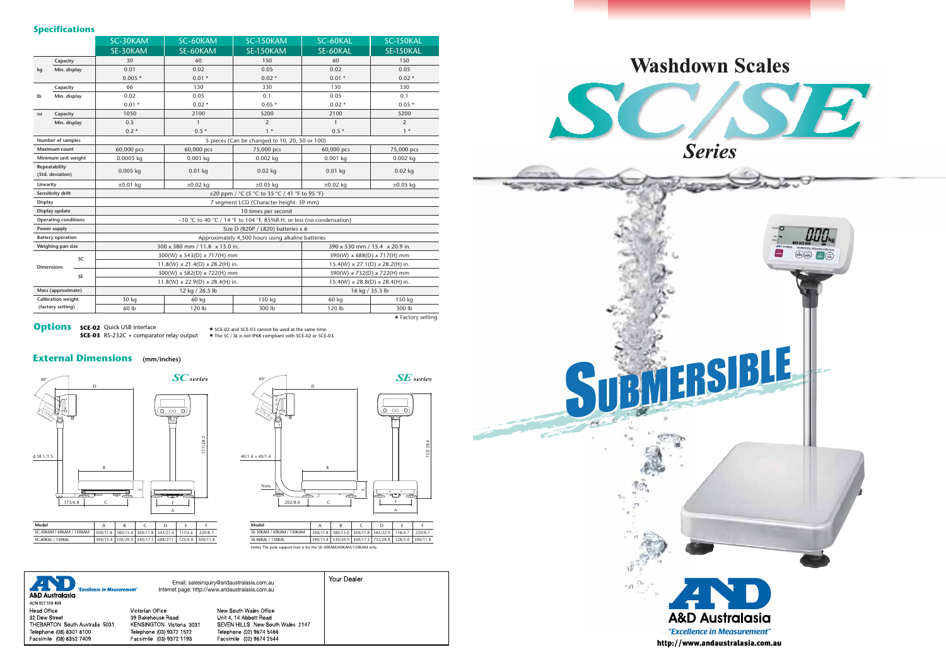|                                   |                    | SC-30KAM                                                               | SC-60KAM      | SC-150KAM     | SC-60KAL                                    | SC-150KAL         |
|-----------------------------------|--------------------|------------------------------------------------------------------------|---------------|---------------|---------------------------------------------|-------------------|
|                                   |                    | SE-30KAM                                                               | SE-60KAM      | SE-150KAM     | SE-60KAL                                    | SE-150KAL         |
| kg                                | Capacity           | 30                                                                     | 60            | 150           | 60                                          | 150               |
|                                   | Min. display       | 0.01                                                                   | 0.02          | 0.05          | 0.02                                        | 0.05              |
|                                   |                    | $0.005*$                                                               | $0.01*$       | $0.02*$       | $0.01 *$                                    | $0.02*$           |
| Ib                                | Capacity           | 66                                                                     | 130           | 330           | 130                                         | 330               |
|                                   | Min. display       | 0.02                                                                   | 0.05          | 0.1           | 0.05                                        | 0.1               |
|                                   |                    | $0.01 *$                                                               | $0.02*$       | $0.05*$       | $0.02*$                                     | $0.05*$           |
| 0Z                                | Capacity           | 1050                                                                   | 2100          | 5200          | 2100                                        | 5200              |
|                                   | Min. display       | 0.5                                                                    | $\mathbf{1}$  | 2             | 1                                           | $\overline{2}$    |
|                                   |                    | $0.2*$                                                                 | $0.5*$        | $1 *$         | $0.5*$                                      | $1 *$             |
| Number of samples                 |                    | 5 pieces (Can be changed to 10, 20, 50 or 100)                         |               |               |                                             |                   |
| <b>Maximum count</b>              |                    | 60,000 pcs                                                             | 60,000 pcs    | 75,000 pcs    | 60,000 pcs                                  | 75,000 pcs        |
| Minimum unit weight               |                    | 0.0005 kg                                                              | $0.001$ kg    | 0.002 kg      | 0.001 kg                                    | $0.002$ kg        |
| Repeatability<br>(Std. deviation) |                    | $0.005$ kg                                                             | $0.01$ kg     | $0.02$ kg     | $0.01$ kg                                   | $0.02$ kg         |
| Linearity                         |                    | $\pm 0.01$ kg                                                          | $\pm 0.02$ kg | $\pm 0.05$ kg | $\pm 0.02$ kg                               | $\pm 0.05$ kg     |
| Sensitivity drift                 |                    | ±20 ppm / °C (5 °C to 35 °C / 41 °F to 95 °F)                          |               |               |                                             |                   |
| <b>Display</b>                    |                    | 7 segment LCD (Character height: 39 mm)                                |               |               |                                             |                   |
| Display update                    |                    | 10 times per second                                                    |               |               |                                             |                   |
| <b>Operating conditions</b>       |                    | $-10$ °C to 40 °C / 14 °F to 104 °F, 85%R.H. or less (no condensation) |               |               |                                             |                   |
| Power supply                      |                    | Size D (R20P / LR20) batteries x 6                                     |               |               |                                             |                   |
| <b>Battery operation</b>          |                    | Approximately 4,500 hours using alkaline batteries                     |               |               |                                             |                   |
| Weighing pan size                 |                    | $300 \times 380$ mm / 11.8 $\times$ 15.0 in.                           |               |               | 390 x 530 mm / 15.4 x 20.9 in.              |                   |
| <b>SC</b>                         |                    | 300(W) x 543(D) x 717(H) mm                                            |               |               | 390(W) x 688(D) x 717(H) mm                 |                   |
|                                   | <b>Dimensions</b>  | $11.8(W) \times 21.4(D) \times 28.2(H)$ in.                            |               |               | $15.4(W) \times 27.1(D) \times 28.2(H)$ in. |                   |
|                                   | SE                 | 300(W) x 582(D) x 722(H) mm                                            |               |               | 390(W) x 732(D) x 722(H) mm                 |                   |
|                                   |                    | $11.8(W) \times 22.9(D) \times 28.4(H)$ in.                            |               |               | 15.4(W) x 28.8(D) x 28.4(H) in.             |                   |
| Mass (approximate)                |                    | 12 kg / 26.5 lb                                                        |               |               | 16 kg / 35.3 lb                             |                   |
|                                   | Calibration weight | 30 kg                                                                  | 60 kg         | 150 kg        | 60 kg                                       | 150 kg            |
|                                   | (factory setting)  | 60 lb                                                                  | 120 lb        | 300 lb        | 120 lb                                      | 300 lb            |
|                                   |                    |                                                                        |               |               |                                             | * Factory setting |

**Options** sce-02 Quick USB interface

### **Specifications**

**SCE-03** RS-232C + comparator relay output **\*** SCE-02 and SCE-03 cannot be used at the same time. **\*** The SC / SE is not IP68 compliant with SCE-02 or SCE-03.

## **External Dimensions (mm/inches)**



**Model** SE-30KAM / 60KAM / 150KAM 300/11.8 380/15.0 300/11.8 582/22.9 118/4.7 220/8.7 SE-60KAL / 150KAL Note) The pole support foot is for the SE-30KAM/60KAM/150KAM only A 390/15.4 530/20.9 440/17.3 732/28.8 128/5.0 300/11.8  $\overline{B}$  $C$ D E F

Your Dealer D Email: salesinquiry@andaustralasia.com.au ÆŊ Internet page: http://www.andaustralasia.com.au "Evrollanca ir A&D Australasia ACN 007 556 809 Head Office Victorian Office New South Wales Office 32 Dew Street 39 Bakehouse Road Unit 4, 14 Abbott Road THEBARTON South Australia 5031 KENSINGTON Victoria 3031 SEVEN HILLS New South Wales 2147 Telephone (08) 8301 8100 Telephone (02) 9674 5466 Telephone (03) 9372 1522 Facsimile (08) 8352 7409 Facsimile (03) 9372 1193 Facsimile (02) 9674 2544